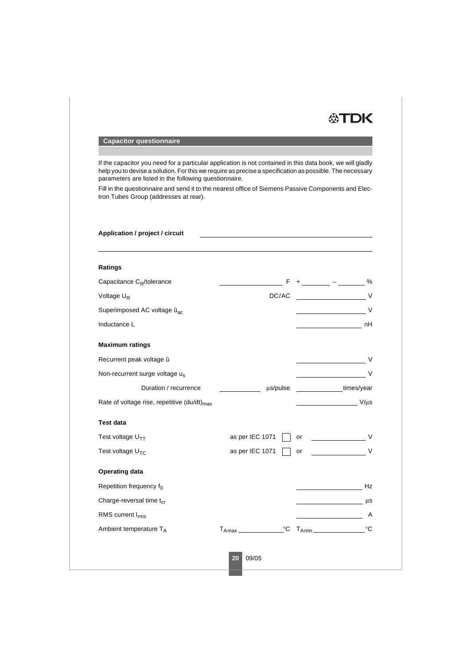

## **Capacitor questionnaire**

If the capacitor you need for a particular application is not contained in this data book, we will gladly help you to devise a solution. For this we require as precise a specification as possible. The necessary parameters are listed in the following questionnaire.

Fill in the questionnaire and send it to the nearest office of Siemens Passive Components and Electron Tubes Group (addresses at rear).

## **Application / project / circuit**

| Ratings                                                 |                            |                         |
|---------------------------------------------------------|----------------------------|-------------------------|
| Capacitance C <sub>R</sub> /tolerance                   |                            | %<br>F + ______ - _____ |
| Voltage U <sub>R</sub>                                  | DC/AC                      | $\vee$                  |
| Superimposed AC voltage û <sub>ac</sub>                 |                            | $\vee$                  |
| Inductance L                                            |                            | nH                      |
| <b>Maximum ratings</b>                                  |                            |                         |
| Recurrent peak voltage û                                |                            | V                       |
| Non-recurrent surge voltage us                          |                            | V                       |
| Duration / recurrence                                   | us/pulse                   | times/year              |
| Rate of voltage rise, repetitive (du/dt) <sub>max</sub> |                            | $V/\mu s$               |
| <b>Test data</b>                                        |                            |                         |
| Test voltage U <sub>TT</sub>                            | as per IEC 1071            | or                      |
| Test voltage U <sub>TC</sub>                            | as per IEC 1071            | $\vee$<br>or            |
| <b>Operating data</b>                                   |                            |                         |
| Repetition frequency f <sub>0</sub>                     |                            | Hz                      |
| Charge-reversal time t <sub>cr</sub>                    |                            | $\mu s$                 |
| RMS current I <sub>rms</sub>                            |                            | A                       |
| Ambient temperature TA                                  | $^{\circ}C$<br>$T_{A max}$ | $^{\circ}C$             |